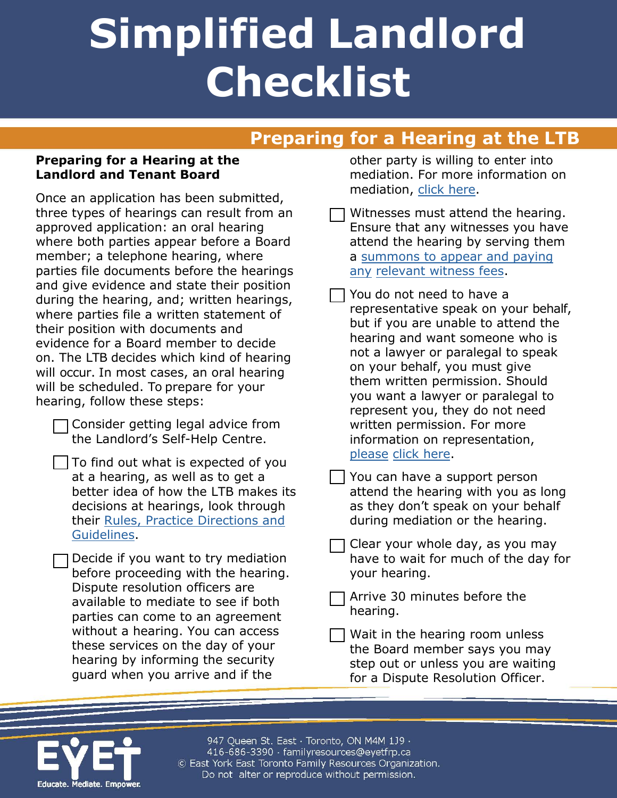# **Simplified Landlord Checklist**

### **Preparing for a Hearing at the LTB**

#### **Preparing for a Hearing at the Landlord and Tenant Board**

Once an application has been submitted, three types of hearings can result from an approved application: an oral hearing where both parties appear before a Board member; a telephone hearing, where parties file documents before the hearings and give evidence and state their position during the hearing, and; written hearings, where parties file a written statement of their position with documents and evidence for a Board member to decide on. The LTB decides which kind of hearing will occur. In most cases, an oral hearing will be scheduled. To prepare for your hearing, follow these steps:

- Consider getting legal advice from the Landlord's Self-Help Centre.
- $\vert$  To find out what is expected of you at a hearing, as well as to get a better idea of how the LTB makes its decisions at hearings, look through their [Rules, Practice Directions and](http://www.sjto.gov.on.ca/ltb/rules-practice-directions-guidelines/) [Guidelines.](http://www.sjto.gov.on.ca/ltb/rules-practice-directions-guidelines/)

Decide if you want to try mediation before proceeding with the hearing. Dispute resolution officers are available to mediate to see if both parties can come to an agreement without a hearing. You can access these services on the day of your hearing by informing the security guard when you arrive and if the

other party is willing to enter into mediation. For more information on mediation, [click here.](http://www.sjto.gov.on.ca/documents/ltb/Brochures/Mediation%20by%20the%20Board%20(EN).pdf)

Witnesses must attend the hearing. Ensure that any witnesses you have attend the hearing by serving them a summons to [appear and paying](http://www.sjto.gov.on.ca/documents/ltb/Brochures/Requesting%20a%20Summons.html)  any [relevant witness](http://www.sjto.gov.on.ca/documents/ltb/Brochures/Requesting%20a%20Summons.html) fees.

You do not need to have a representative speak on your behalf, but if you are unable to attend the hearing and want someone who is not a lawyer or paralegal to speak on your behalf, you must give them written permission. Should you want a lawyer or paralegal to represent you, they do not need written permission. For more information on representation, [please](http://www.sjto.gov.on.ca/documents/sjto/Practice%20Directions/Representation%20before%20SJTO.html) click here.

- You can have a support person attend the hearing with you as long as they don't speak on your behalf during mediation or the hearing.
- Clear your whole day, as you may have to wait for much of the day for your hearing.

Arrive 30 minutes before the hearing.

Wait in the hearing room unless the Board member says you may step out or unless you are waiting for a Dispute Resolution Officer.



947 Queen St. East · Toronto, ON M4M 1J9 · 416-686-3390 · familyresources@eyetfrp.ca © East York East Toronto Family Resources Organization. Do not alter or reproduce without permission.